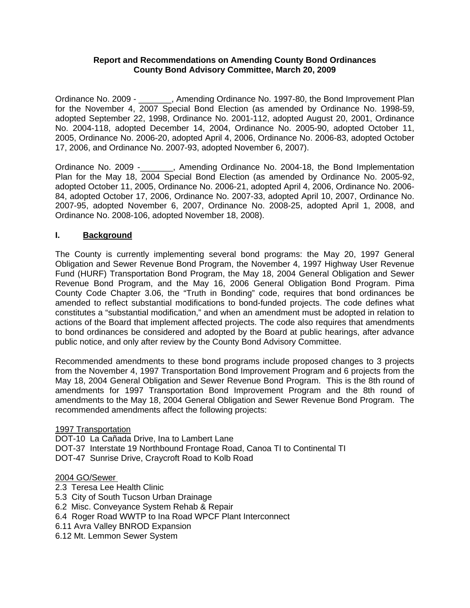#### **Report and Recommendations on Amending County Bond Ordinances County Bond Advisory Committee, March 20, 2009**

Ordinance No. 2009 - \_\_\_\_\_\_\_, Amending Ordinance No. 1997-80, the Bond Improvement Plan for the November 4, 2007 Special Bond Election (as amended by Ordinance No. 1998-59, adopted September 22, 1998, Ordinance No. 2001-112, adopted August 20, 2001, Ordinance No. 2004-118, adopted December 14, 2004, Ordinance No. 2005-90, adopted October 11, 2005, Ordinance No. 2006-20, adopted April 4, 2006, Ordinance No. 2006-83, adopted October 17, 2006, and Ordinance No. 2007-93, adopted November 6, 2007).

Ordinance No. 2009 -\_\_\_\_\_\_\_, Amending Ordinance No. 2004-18, the Bond Implementation Plan for the May 18, 2004 Special Bond Election (as amended by Ordinance No. 2005-92, adopted October 11, 2005, Ordinance No. 2006-21, adopted April 4, 2006, Ordinance No. 2006- 84, adopted October 17, 2006, Ordinance No. 2007-33, adopted April 10, 2007, Ordinance No. 2007-95, adopted November 6, 2007, Ordinance No. 2008-25, adopted April 1, 2008, and Ordinance No. 2008-106, adopted November 18, 2008).

### **I. Background**

The County is currently implementing several bond programs: the May 20, 1997 General Obligation and Sewer Revenue Bond Program, the November 4, 1997 Highway User Revenue Fund (HURF) Transportation Bond Program, the May 18, 2004 General Obligation and Sewer Revenue Bond Program, and the May 16, 2006 General Obligation Bond Program. Pima County Code Chapter 3.06, the "Truth in Bonding" code, requires that bond ordinances be amended to reflect substantial modifications to bond-funded projects. The code defines what constitutes a "substantial modification," and when an amendment must be adopted in relation to actions of the Board that implement affected projects. The code also requires that amendments to bond ordinances be considered and adopted by the Board at public hearings, after advance public notice, and only after review by the County Bond Advisory Committee.

Recommended amendments to these bond programs include proposed changes to 3 projects from the November 4, 1997 Transportation Bond Improvement Program and 6 projects from the May 18, 2004 General Obligation and Sewer Revenue Bond Program. This is the 8th round of amendments for 1997 Transportation Bond Improvement Program and the 8th round of amendments to the May 18, 2004 General Obligation and Sewer Revenue Bond Program. The recommended amendments affect the following projects:

#### 1997 Transportation

DOT-10 La Cañada Drive, Ina to Lambert Lane DOT-37 Interstate 19 Northbound Frontage Road, Canoa TI to Continental TI DOT-47 Sunrise Drive, Craycroft Road to Kolb Road

#### 2004 GO/Sewer

- 2.3 Teresa Lee Health Clinic
- 5.3 City of South Tucson Urban Drainage
- 6.2 Misc. Conveyance System Rehab & Repair
- 6.4 Roger Road WWTP to Ina Road WPCF Plant Interconnect
- 6.11 Avra Valley BNROD Expansion
- 6.12 Mt. Lemmon Sewer System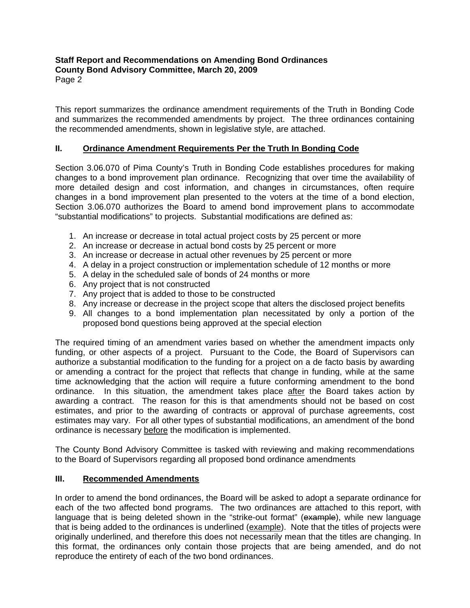#### **Staff Report and Recommendations on Amending Bond Ordinances County Bond Advisory Committee, March 20, 2009**  Page 2

This report summarizes the ordinance amendment requirements of the Truth in Bonding Code and summarizes the recommended amendments by project. The three ordinances containing the recommended amendments, shown in legislative style, are attached.

# **II. Ordinance Amendment Requirements Per the Truth In Bonding Code**

Section 3.06.070 of Pima County's Truth in Bonding Code establishes procedures for making changes to a bond improvement plan ordinance. Recognizing that over time the availability of more detailed design and cost information, and changes in circumstances, often require changes in a bond improvement plan presented to the voters at the time of a bond election, Section 3.06.070 authorizes the Board to amend bond improvement plans to accommodate "substantial modifications" to projects. Substantial modifications are defined as:

- 1. An increase or decrease in total actual project costs by 25 percent or more
- 2. An increase or decrease in actual bond costs by 25 percent or more
- 3. An increase or decrease in actual other revenues by 25 percent or more
- 4. A delay in a project construction or implementation schedule of 12 months or more
- 5. A delay in the scheduled sale of bonds of 24 months or more
- 6. Any project that is not constructed
- 7. Any project that is added to those to be constructed
- 8. Any increase or decrease in the project scope that alters the disclosed project benefits
- 9. All changes to a bond implementation plan necessitated by only a portion of the proposed bond questions being approved at the special election

The required timing of an amendment varies based on whether the amendment impacts only funding, or other aspects of a project. Pursuant to the Code, the Board of Supervisors can authorize a substantial modification to the funding for a project on a de facto basis by awarding or amending a contract for the project that reflects that change in funding, while at the same time acknowledging that the action will require a future conforming amendment to the bond ordinance. In this situation, the amendment takes place after the Board takes action by awarding a contract. The reason for this is that amendments should not be based on cost estimates, and prior to the awarding of contracts or approval of purchase agreements, cost estimates may vary. For all other types of substantial modifications, an amendment of the bond ordinance is necessary before the modification is implemented.

The County Bond Advisory Committee is tasked with reviewing and making recommendations to the Board of Supervisors regarding all proposed bond ordinance amendments

### **III. Recommended Amendments**

In order to amend the bond ordinances, the Board will be asked to adopt a separate ordinance for each of the two affected bond programs. The two ordinances are attached to this report, with language that is being deleted shown in the "strike-out format" (example), while new language that is being added to the ordinances is underlined (example). Note that the titles of projects were originally underlined, and therefore this does not necessarily mean that the titles are changing. In this format, the ordinances only contain those projects that are being amended, and do not reproduce the entirety of each of the two bond ordinances.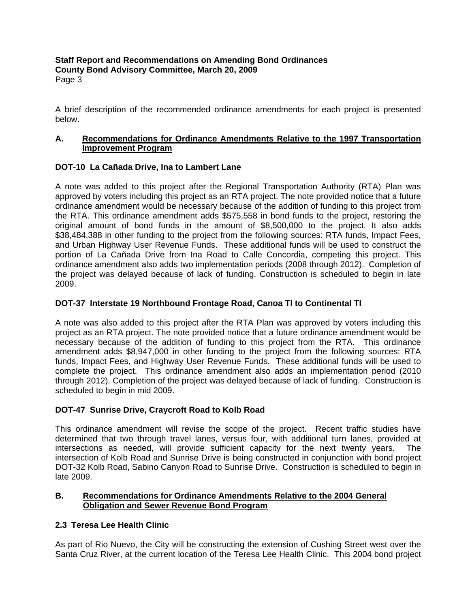**Staff Report and Recommendations on Amending Bond Ordinances County Bond Advisory Committee, March 20, 2009**  Page 3

A brief description of the recommended ordinance amendments for each project is presented below.

### **A. Recommendations for Ordinance Amendments Relative to the 1997 Transportation Improvement Program**

### **DOT-10 La Cañada Drive, Ina to Lambert Lane**

A note was added to this project after the Regional Transportation Authority (RTA) Plan was approved by voters including this project as an RTA project. The note provided notice that a future ordinance amendment would be necessary because of the addition of funding to this project from the RTA. This ordinance amendment adds \$575,558 in bond funds to the project, restoring the original amount of bond funds in the amount of \$8,500,000 to the project. It also adds \$38,484,388 in other funding to the project from the following sources: RTA funds, Impact Fees, and Urban Highway User Revenue Funds. These additional funds will be used to construct the portion of La Cañada Drive from Ina Road to Calle Concordia, competing this project. This ordinance amendment also adds two implementation periods (2008 through 2012). Completion of the project was delayed because of lack of funding. Construction is scheduled to begin in late 2009.

### **DOT-37 Interstate 19 Northbound Frontage Road, Canoa TI to Continental TI**

A note was also added to this project after the RTA Plan was approved by voters including this project as an RTA project. The note provided notice that a future ordinance amendment would be necessary because of the addition of funding to this project from the RTA. This ordinance amendment adds \$8,947,000 in other funding to the project from the following sources: RTA funds, Impact Fees, and Highway User Revenue Funds. These additional funds will be used to complete the project. This ordinance amendment also adds an implementation period (2010 through 2012). Completion of the project was delayed because of lack of funding. Construction is scheduled to begin in mid 2009.

# **DOT-47 Sunrise Drive, Craycroft Road to Kolb Road**

This ordinance amendment will revise the scope of the project. Recent traffic studies have determined that two through travel lanes, versus four, with additional turn lanes, provided at intersections as needed, will provide sufficient capacity for the next twenty years. The intersection of Kolb Road and Sunrise Drive is being constructed in conjunction with bond project DOT-32 Kolb Road, Sabino Canyon Road to Sunrise Drive. Construction is scheduled to begin in late 2009.

### **B. Recommendations for Ordinance Amendments Relative to the 2004 General Obligation and Sewer Revenue Bond Program**

# **2.3 Teresa Lee Health Clinic**

As part of Rio Nuevo, the City will be constructing the extension of Cushing Street west over the Santa Cruz River, at the current location of the Teresa Lee Health Clinic. This 2004 bond project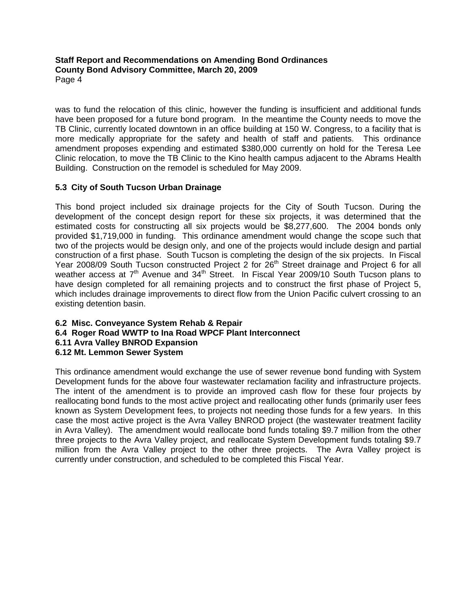**Staff Report and Recommendations on Amending Bond Ordinances County Bond Advisory Committee, March 20, 2009**  Page 4

was to fund the relocation of this clinic, however the funding is insufficient and additional funds have been proposed for a future bond program. In the meantime the County needs to move the TB Clinic, currently located downtown in an office building at 150 W. Congress, to a facility that is more medically appropriate for the safety and health of staff and patients. This ordinance amendment proposes expending and estimated \$380,000 currently on hold for the Teresa Lee Clinic relocation, to move the TB Clinic to the Kino health campus adjacent to the Abrams Health Building. Construction on the remodel is scheduled for May 2009.

# **5.3 City of South Tucson Urban Drainage**

This bond project included six drainage projects for the City of South Tucson. During the development of the concept design report for these six projects, it was determined that the estimated costs for constructing all six projects would be \$8,277,600. The 2004 bonds only provided \$1,719,000 in funding. This ordinance amendment would change the scope such that two of the projects would be design only, and one of the projects would include design and partial construction of a first phase. South Tucson is completing the design of the six projects. In Fiscal Year 2008/09 South Tucson constructed Project 2 for 26<sup>th</sup> Street drainage and Project 6 for all weather access at 7<sup>th</sup> Avenue and 34<sup>th</sup> Street. In Fiscal Year 2009/10 South Tucson plans to have design completed for all remaining projects and to construct the first phase of Project 5, which includes drainage improvements to direct flow from the Union Pacific culvert crossing to an existing detention basin.

### **6.2 Misc. Conveyance System Rehab & Repair 6.4 Roger Road WWTP to Ina Road WPCF Plant Interconnect 6.11 Avra Valley BNROD Expansion 6.12 Mt. Lemmon Sewer System**

This ordinance amendment would exchange the use of sewer revenue bond funding with System Development funds for the above four wastewater reclamation facility and infrastructure projects. The intent of the amendment is to provide an improved cash flow for these four projects by reallocating bond funds to the most active project and reallocating other funds (primarily user fees known as System Development fees, to projects not needing those funds for a few years. In this case the most active project is the Avra Valley BNROD project (the wastewater treatment facility in Avra Valley). The amendment would reallocate bond funds totaling \$9.7 million from the other three projects to the Avra Valley project, and reallocate System Development funds totaling \$9.7 million from the Avra Valley project to the other three projects. The Avra Valley project is currently under construction, and scheduled to be completed this Fiscal Year.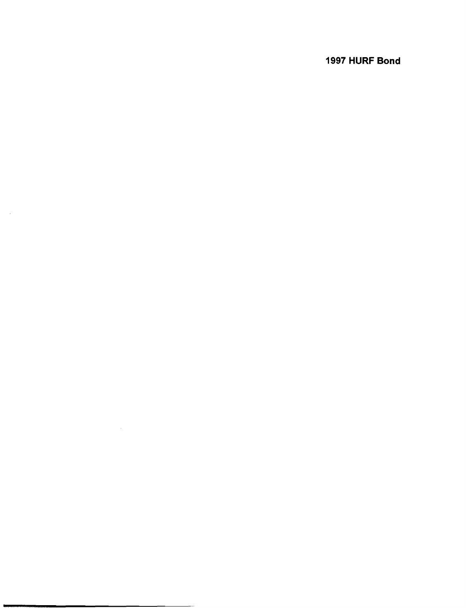# **1997 HURF Bond**

 $\sim 6\%$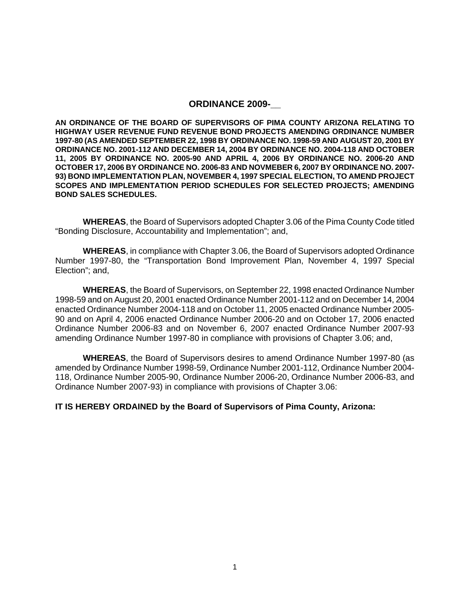#### **ORDINANCE 2009-\_\_**

**AN ORDINANCE OF THE BOARD OF SUPERVISORS OF PIMA COUNTY ARIZONA RELATING TO HIGHWAY USER REVENUE FUND REVENUE BOND PROJECTS AMENDING ORDINANCE NUMBER 1997-80 (AS AMENDED SEPTEMBER 22, 1998 BY ORDINANCE NO. 1998-59 AND AUGUST 20, 2001 BY ORDINANCE NO. 2001-112 AND DECEMBER 14, 2004 BY ORDINANCE NO. 2004-118 AND OCTOBER 11, 2005 BY ORDINANCE NO. 2005-90 AND APRIL 4, 2006 BY ORDINANCE NO. 2006-20 AND OCTOBER 17, 2006 BY ORDINANCE NO. 2006-83 AND NOVMEBER 6, 2007 BY ORDINANCE NO. 2007- 93) BOND IMPLEMENTATION PLAN, NOVEMBER 4, 1997 SPECIAL ELECTION, TO AMEND PROJECT SCOPES AND IMPLEMENTATION PERIOD SCHEDULES FOR SELECTED PROJECTS; AMENDING BOND SALES SCHEDULES.** 

**WHEREAS**, the Board of Supervisors adopted Chapter 3.06 of the Pima County Code titled "Bonding Disclosure, Accountability and Implementation"; and,

**WHEREAS**, in compliance with Chapter 3.06, the Board of Supervisors adopted Ordinance Number 1997-80, the "Transportation Bond Improvement Plan, November 4, 1997 Special Election"; and,

**WHEREAS**, the Board of Supervisors, on September 22, 1998 enacted Ordinance Number 1998-59 and on August 20, 2001 enacted Ordinance Number 2001-112 and on December 14, 2004 enacted Ordinance Number 2004-118 and on October 11, 2005 enacted Ordinance Number 2005- 90 and on April 4, 2006 enacted Ordinance Number 2006-20 and on October 17, 2006 enacted Ordinance Number 2006-83 and on November 6, 2007 enacted Ordinance Number 2007-93 amending Ordinance Number 1997-80 in compliance with provisions of Chapter 3.06; and,

**WHEREAS**, the Board of Supervisors desires to amend Ordinance Number 1997-80 (as amended by Ordinance Number 1998-59, Ordinance Number 2001-112, Ordinance Number 2004- 118, Ordinance Number 2005-90, Ordinance Number 2006-20, Ordinance Number 2006-83, and Ordinance Number 2007-93) in compliance with provisions of Chapter 3.06:

#### **IT IS HEREBY ORDAINED by the Board of Supervisors of Pima County, Arizona:**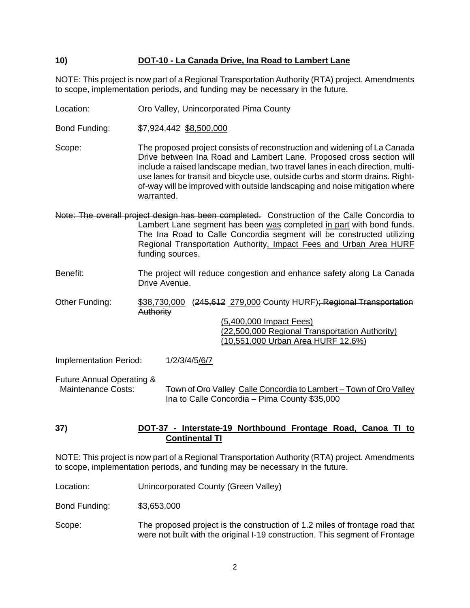### **10) DOT-10 - La Canada Drive, Ina Road to Lambert Lane**

NOTE: This project is now part of a Regional Transportation Authority (RTA) project. Amendments to scope, implementation periods, and funding may be necessary in the future.

Location: Oro Valley, Unincorporated Pima County

Bond Funding: \$7,924,442 \$8,500,000

Scope: The proposed project consists of reconstruction and widening of La Canada Drive between Ina Road and Lambert Lane. Proposed cross section will include a raised landscape median, two travel lanes in each direction, multiuse lanes for transit and bicycle use, outside curbs and storm drains. Rightof-way will be improved with outside landscaping and noise mitigation where warranted.

Note: The overall project design has been completed. Construction of the Calle Concordia to Lambert Lane segment has been was completed in part with bond funds. The Ina Road to Calle Concordia segment will be constructed utilizing Regional Transportation Authority, Impact Fees and Urban Area HURF funding sources.

Benefit: The project will reduce congestion and enhance safety along La Canada Drive Avenue.

Other Funding: \$38,730,000 (245,612 279,000 County HURF); Regional Transportation **Authority** 

> (5,400,000 Impact Fees) (22,500,000 Regional Transportation Authority) (10,551,000 Urban Area HURF 12.6%)

Implementation Period: 1/2/3/4/5/6/7

Future Annual Operating & Town of Oro Valley Calle Concordia to Lambert – Town of Oro Valley Ina to Calle Concordia – Pima County \$35,000

#### **37) DOT-37 - Interstate-19 Northbound Frontage Road, Canoa TI to Continental TI**

NOTE: This project is now part of a Regional Transportation Authority (RTA) project. Amendments to scope, implementation periods, and funding may be necessary in the future.

Location: Unincorporated County (Green Valley)

Bond Funding: \$3,653,000

Scope: The proposed project is the construction of 1.2 miles of frontage road that were not built with the original I-19 construction. This segment of Frontage

2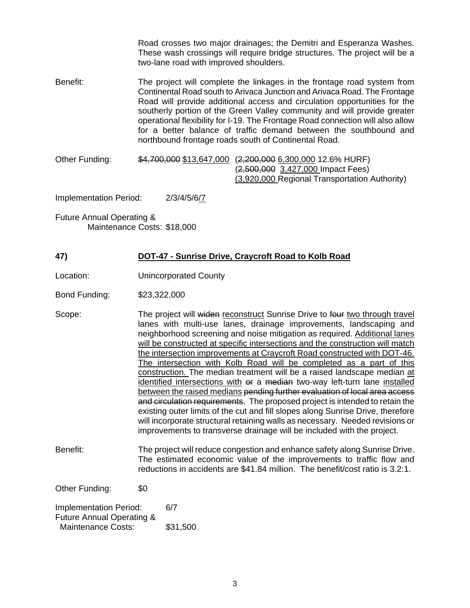Road crosses two major drainages; the Demitri and Esperanza Washes. These wash crossings will require bridge structures. The project will be a two-lane road with improved shoulders.

- Benefit: The project will complete the linkages in the frontage road system from Continental Road south to Arivaca Junction and Arivaca Road. The Frontage Road will provide additional access and circulation opportunities for the southerly portion of the Green Valley community and will provide greater operational flexibility for I-19. The Frontage Road connection will also allow for a better balance of traffic demand between the southbound and northbound frontage roads south of Continental Road.
- Other Funding:  $$4,700,000 $13,647,000 (2,200,000 6,300,000 12.6\% HURF)$  (2,500,000 3,427,000 Impact Fees) (3,920,000 Regional Transportation Authority)

Implementation Period: 2/3/4/5/6/7

Future Annual Operating & Maintenance Costs: \$18,000

# **47) DOT-47 - Sunrise Drive, Craycroft Road to Kolb Road**

Location: Unincorporated County

Bond Funding: \$23,322,000

- Scope: The project will widen reconstruct Sunrise Drive to four two through travel lanes with multi-use lanes, drainage improvements, landscaping and neighborhood screening and noise mitigation as required. Additional lanes will be constructed at specific intersections and the construction will match the intersection improvements at Craycroft Road constructed with DOT-46. The intersection with Kolb Road will be completed as a part of this construction. The median treatment will be a raised landscape median at identified intersections with or a median two-way left-turn lane installed between the raised medians pending further evaluation of local area access and circulation requirements. The proposed project is intended to retain the existing outer limits of the cut and fill slopes along Sunrise Drive, therefore will incorporate structural retaining walls as necessary. Needed revisions or improvements to transverse drainage will be included with the project.
- Benefit: The project will reduce congestion and enhance safety along Sunrise Drive. The estimated economic value of the improvements to traffic flow and reductions in accidents are \$41.84 million. The benefit/cost ratio is 3.2:1.

Other Funding: \$0

| 6/7      |
|----------|
|          |
| \$31,500 |
|          |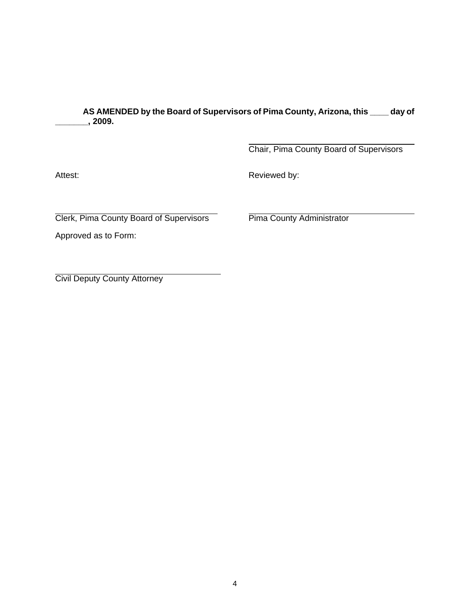**AS AMENDED by the Board of Supervisors of Pima County, Arizona, this \_\_\_\_ day of \_\_\_\_\_\_\_, 2009.** 

> $\overline{a}$ Chair, Pima County Board of Supervisors

Attest: **Attest: Reviewed by: Reviewed by:** 

 $\overline{a}$ Clerk, Pima County Board of Supervisors Pima County Administrator

Approved as to Form:

 $\overline{a}$ Civil Deputy County Attorney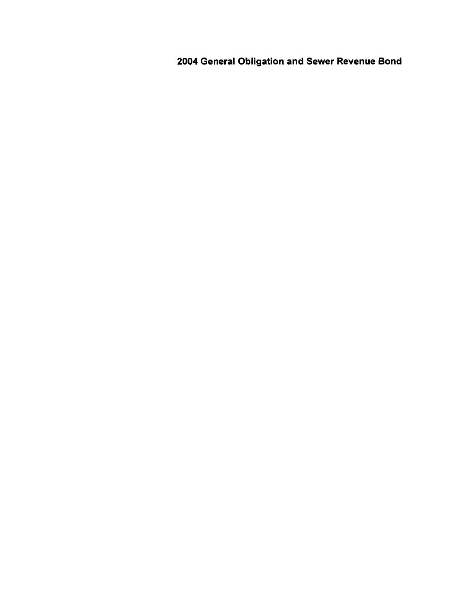**2004 General Obligation and Sewer Revenue Bond**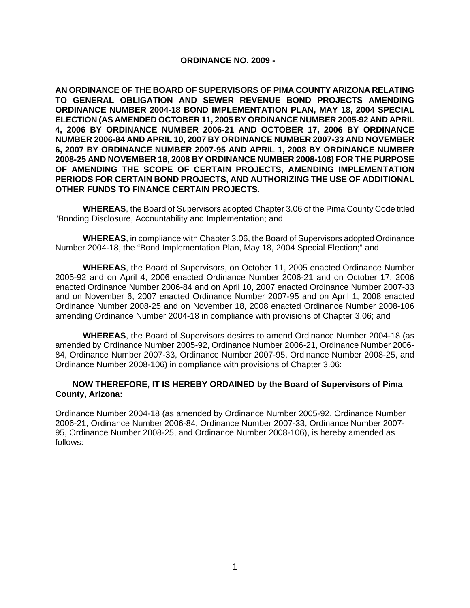#### **ORDINANCE NO. 2009 - \_\_**

**AN ORDINANCE OF THE BOARD OF SUPERVISORS OF PIMA COUNTY ARIZONA RELATING TO GENERAL OBLIGATION AND SEWER REVENUE BOND PROJECTS AMENDING ORDINANCE NUMBER 2004-18 BOND IMPLEMENTATION PLAN, MAY 18, 2004 SPECIAL ELECTION (AS AMENDED OCTOBER 11, 2005 BY ORDINANCE NUMBER 2005-92 AND APRIL 4, 2006 BY ORDINANCE NUMBER 2006-21 AND OCTOBER 17, 2006 BY ORDINANCE NUMBER 2006-84 AND APRIL 10, 2007 BY ORDINANCE NUMBER 2007-33 AND NOVEMBER 6, 2007 BY ORDINANCE NUMBER 2007-95 AND APRIL 1, 2008 BY ORDINANCE NUMBER 2008-25 AND NOVEMBER 18, 2008 BY ORDINANCE NUMBER 2008-106) FOR THE PURPOSE OF AMENDING THE SCOPE OF CERTAIN PROJECTS, AMENDING IMPLEMENTATION PERIODS FOR CERTAIN BOND PROJECTS, AND AUTHORIZING THE USE OF ADDITIONAL OTHER FUNDS TO FINANCE CERTAIN PROJECTS.** 

 **WHEREAS**, the Board of Supervisors adopted Chapter 3.06 of the Pima County Code titled "Bonding Disclosure, Accountability and Implementation; and

**WHEREAS**, in compliance with Chapter 3.06, the Board of Supervisors adopted Ordinance Number 2004-18, the "Bond Implementation Plan, May 18, 2004 Special Election;" and

**WHEREAS**, the Board of Supervisors, on October 11, 2005 enacted Ordinance Number 2005-92 and on April 4, 2006 enacted Ordinance Number 2006-21 and on October 17, 2006 enacted Ordinance Number 2006-84 and on April 10, 2007 enacted Ordinance Number 2007-33 and on November 6, 2007 enacted Ordinance Number 2007-95 and on April 1, 2008 enacted Ordinance Number 2008-25 and on November 18, 2008 enacted Ordinance Number 2008-106 amending Ordinance Number 2004-18 in compliance with provisions of Chapter 3.06; and

**WHEREAS**, the Board of Supervisors desires to amend Ordinance Number 2004-18 (as amended by Ordinance Number 2005-92, Ordinance Number 2006-21, Ordinance Number 2006- 84, Ordinance Number 2007-33, Ordinance Number 2007-95, Ordinance Number 2008-25, and Ordinance Number 2008-106) in compliance with provisions of Chapter 3.06:

#### **NOW THEREFORE, IT IS HEREBY ORDAINED by the Board of Supervisors of Pima County, Arizona:**

Ordinance Number 2004-18 (as amended by Ordinance Number 2005-92, Ordinance Number 2006-21, Ordinance Number 2006-84, Ordinance Number 2007-33, Ordinance Number 2007- 95, Ordinance Number 2008-25, and Ordinance Number 2008-106), is hereby amended as follows: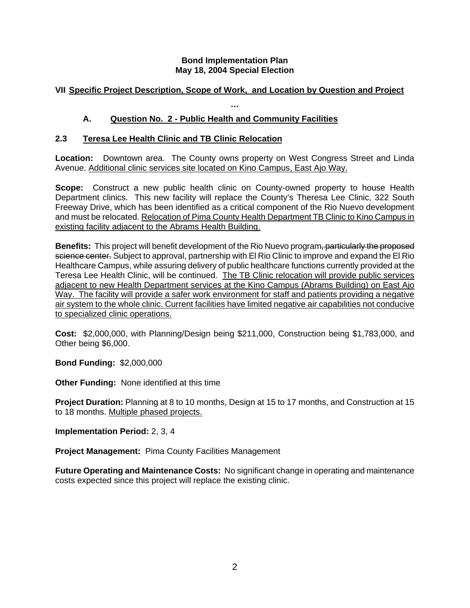### **Bond Implementation Plan May 18, 2004 Special Election**

# **VII Specific Project Description, Scope of Work, and Location by Question and Project**

**…** 

# **A. Question No. 2 - Public Health and Community Facilities**

# **2.3 Teresa Lee Health Clinic and TB Clinic Relocation**

**Location:** Downtown area. The County owns property on West Congress Street and Linda Avenue. Additional clinic services site located on Kino Campus, East Ajo Way.

**Scope:** Construct a new public health clinic on County-owned property to house Health Department clinics. This new facility will replace the County's Theresa Lee Clinic, 322 South Freeway Drive, which has been identified as a critical component of the Rio Nuevo development and must be relocated. Relocation of Pima County Health Department TB Clinic to Kino Campus in existing facility adjacent to the Abrams Health Building.

**Benefits:** This project will benefit development of the Rio Nuevo program<del>, particularly the proposed</del> science center. Subject to approval, partnership with El Rio Clinic to improve and expand the El Rio Healthcare Campus, while assuring delivery of public healthcare functions currently provided at the Teresa Lee Health Clinic, will be continued. The TB Clinic relocation will provide public services adjacent to new Health Department services at the Kino Campus (Abrams Building) on East Ajo Way. The facility will provide a safer work environment for staff and patients providing a negative air system to the whole clinic. Current facilities have limited negative air capabilities not conducive to specialized clinic operations.

**Cost:** \$2,000,000, with Planning/Design being \$211,000, Construction being \$1,783,000, and Other being \$6,000.

**Bond Funding:** \$2,000,000

**Other Funding:** None identified at this time

**Project Duration:** Planning at 8 to 10 months, Design at 15 to 17 months, and Construction at 15 to 18 months. Multiple phased projects.

**Implementation Period:** 2, 3, 4

**Project Management:** Pima County Facilities Management

**Future Operating and Maintenance Costs:** No significant change in operating and maintenance costs expected since this project will replace the existing clinic.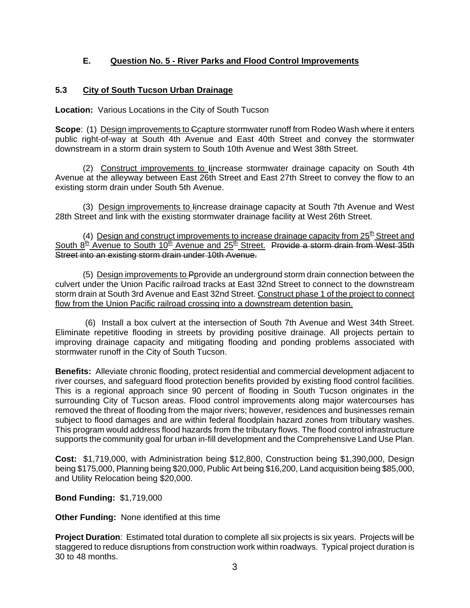# **E. Question No. 5 - River Parks and Flood Control Improvements**

# **5.3 City of South Tucson Urban Drainage**

**Location:** Various Locations in the City of South Tucson

**Scope**: (1) Design improvements to Gcapture stormwater runoff from Rodeo Wash where it enters public right-of-way at South 4th Avenue and East 40th Street and convey the stormwater downstream in a storm drain system to South 10th Avenue and West 38th Street.

(2) Construct improvements to lincrease stormwater drainage capacity on South 4th Avenue at the alleyway between East 26th Street and East 27th Street to convey the flow to an existing storm drain under South 5th Avenue.

(3) Design improvements to lincrease drainage capacity at South 7th Avenue and West 28th Street and link with the existing stormwater drainage facility at West 26th Street.

(4) Design and construct improvements to increase drainage capacity from  $25<sup>th</sup>$  Street and South  $8<sup>th</sup>$  Avenue to South 10<sup>th</sup> Avenue and 25<sup>th</sup> Street. Provide a storm drain from West 35th Street into an existing storm drain under 10th Avenue.

(5) Design improvements to Pprovide an underground storm drain connection between the culvert under the Union Pacific railroad tracks at East 32nd Street to connect to the downstream storm drain at South 3rd Avenue and East 32nd Street. Construct phase 1 of the project to connect flow from the Union Pacific railroad crossing into a downstream detention basin.

 (6) Install a box culvert at the intersection of South 7th Avenue and West 34th Street. Eliminate repetitive flooding in streets by providing positive drainage. All projects pertain to improving drainage capacity and mitigating flooding and ponding problems associated with stormwater runoff in the City of South Tucson.

**Benefits:** Alleviate chronic flooding, protect residential and commercial development adjacent to river courses, and safeguard flood protection benefits provided by existing flood control facilities. This is a regional approach since 90 percent of flooding in South Tucson originates in the surrounding City of Tucson areas. Flood control improvements along major watercourses has removed the threat of flooding from the major rivers; however, residences and businesses remain subject to flood damages and are within federal floodplain hazard zones from tributary washes. This program would address flood hazards from the tributary flows. The flood control infrastructure supports the community goal for urban in-fill development and the Comprehensive Land Use Plan.

**Cost:** \$1,719,000, with Administration being \$12,800, Construction being \$1,390,000, Design being \$175,000, Planning being \$20,000, Public Art being \$16,200, Land acquisition being \$85,000, and Utility Relocation being \$20,000.

### **Bond Funding:** \$1,719,000

**Other Funding:** None identified at this time

**Project Duration**: Estimated total duration to complete all six projects is six years. Projects will be staggered to reduce disruptions from construction work within roadways. Typical project duration is 30 to 48 months.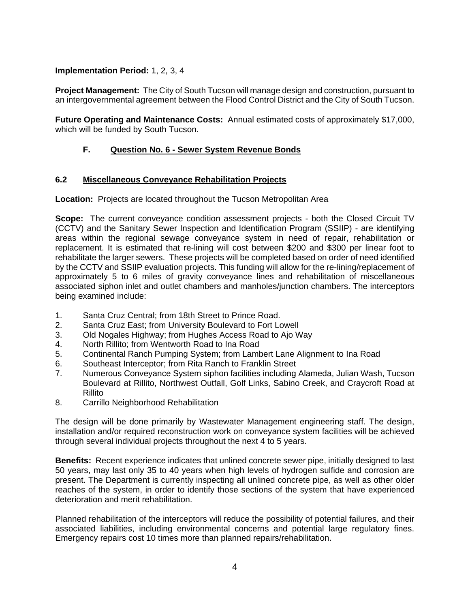# **Implementation Period:** 1, 2, 3, 4

**Project Management:** The City of South Tucson will manage design and construction, pursuant to an intergovernmental agreement between the Flood Control District and the City of South Tucson.

**Future Operating and Maintenance Costs:** Annual estimated costs of approximately \$17,000, which will be funded by South Tucson.

# **F. Question No. 6 - Sewer System Revenue Bonds**

### **6.2 Miscellaneous Conveyance Rehabilitation Projects**

**Location:** Projects are located throughout the Tucson Metropolitan Area

**Scope:** The current conveyance condition assessment projects - both the Closed Circuit TV (CCTV) and the Sanitary Sewer Inspection and Identification Program (SSIIP) - are identifying areas within the regional sewage conveyance system in need of repair, rehabilitation or replacement. It is estimated that re-lining will cost between \$200 and \$300 per linear foot to rehabilitate the larger sewers. These projects will be completed based on order of need identified by the CCTV and SSIIP evaluation projects. This funding will allow for the re-lining/replacement of approximately 5 to 6 miles of gravity conveyance lines and rehabilitation of miscellaneous associated siphon inlet and outlet chambers and manholes/junction chambers. The interceptors being examined include:

- 1. Santa Cruz Central; from 18th Street to Prince Road.
- 2. Santa Cruz East; from University Boulevard to Fort Lowell
- 3. Old Nogales Highway; from Hughes Access Road to Ajo Way
- 4. North Rillito; from Wentworth Road to Ina Road
- 5. Continental Ranch Pumping System; from Lambert Lane Alignment to Ina Road
- 6. Southeast Interceptor; from Rita Ranch to Franklin Street
- 7. Numerous Conveyance System siphon facilities including Alameda, Julian Wash, Tucson Boulevard at Rillito, Northwest Outfall, Golf Links, Sabino Creek, and Craycroft Road at Rillito
- 8. Carrillo Neighborhood Rehabilitation

The design will be done primarily by Wastewater Management engineering staff. The design, installation and/or required reconstruction work on conveyance system facilities will be achieved through several individual projects throughout the next 4 to 5 years.

**Benefits:** Recent experience indicates that unlined concrete sewer pipe, initially designed to last 50 years, may last only 35 to 40 years when high levels of hydrogen sulfide and corrosion are present. The Department is currently inspecting all unlined concrete pipe, as well as other older reaches of the system, in order to identify those sections of the system that have experienced deterioration and merit rehabilitation.

Planned rehabilitation of the interceptors will reduce the possibility of potential failures, and their associated liabilities, including environmental concerns and potential large regulatory fines. Emergency repairs cost 10 times more than planned repairs/rehabilitation.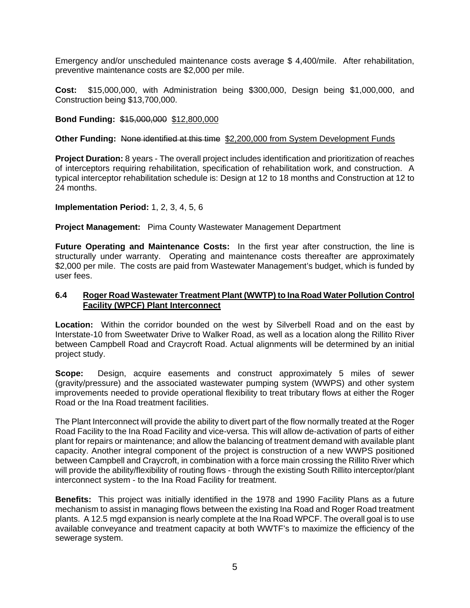Emergency and/or unscheduled maintenance costs average \$ 4,400/mile. After rehabilitation, preventive maintenance costs are \$2,000 per mile.

**Cost:** \$15,000,000, with Administration being \$300,000, Design being \$1,000,000, and Construction being \$13,700,000.

### **Bond Funding:** \$15,000,000 \$12,800,000

#### **Other Funding:** None identified at this time \$2,200,000 from System Development Funds

**Project Duration:** 8 years - The overall project includes identification and prioritization of reaches of interceptors requiring rehabilitation, specification of rehabilitation work, and construction. A typical interceptor rehabilitation schedule is: Design at 12 to 18 months and Construction at 12 to 24 months.

#### **Implementation Period:** 1, 2, 3, 4, 5, 6

**Project Management:** Pima County Wastewater Management Department

**Future Operating and Maintenance Costs:** In the first year after construction, the line is structurally under warranty. Operating and maintenance costs thereafter are approximately \$2,000 per mile. The costs are paid from Wastewater Management's budget, which is funded by user fees.

#### **6.4 Roger Road Wastewater Treatment Plant (WWTP) to Ina Road Water Pollution Control Facility (WPCF) Plant Interconnect**

**Location:** Within the corridor bounded on the west by Silverbell Road and on the east by Interstate-10 from Sweetwater Drive to Walker Road, as well as a location along the Rillito River between Campbell Road and Craycroft Road. Actual alignments will be determined by an initial project study.

**Scope:** Design, acquire easements and construct approximately 5 miles of sewer (gravity/pressure) and the associated wastewater pumping system (WWPS) and other system improvements needed to provide operational flexibility to treat tributary flows at either the Roger Road or the Ina Road treatment facilities.

The Plant Interconnect will provide the ability to divert part of the flow normally treated at the Roger Road Facility to the Ina Road Facility and vice-versa. This will allow de-activation of parts of either plant for repairs or maintenance; and allow the balancing of treatment demand with available plant capacity. Another integral component of the project is construction of a new WWPS positioned between Campbell and Craycroft, in combination with a force main crossing the Rillito River which will provide the ability/flexibility of routing flows - through the existing South Rillito interceptor/plant interconnect system - to the Ina Road Facility for treatment.

**Benefits:** This project was initially identified in the 1978 and 1990 Facility Plans as a future mechanism to assist in managing flows between the existing Ina Road and Roger Road treatment plants. A 12.5 mgd expansion is nearly complete at the Ina Road WPCF. The overall goal is to use available conveyance and treatment capacity at both WWTF's to maximize the efficiency of the sewerage system.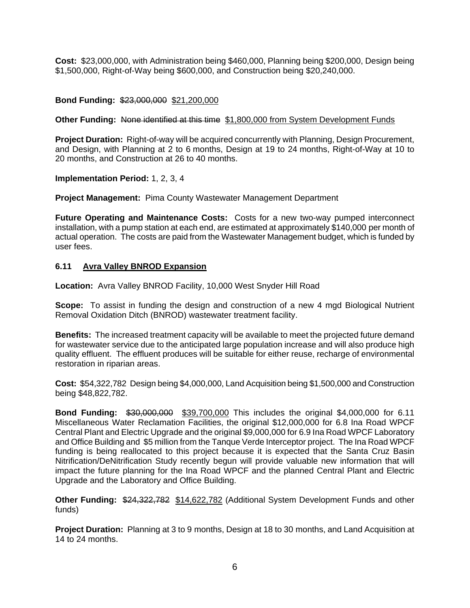**Cost:** \$23,000,000, with Administration being \$460,000, Planning being \$200,000, Design being \$1,500,000, Right-of-Way being \$600,000, and Construction being \$20,240,000.

### **Bond Funding:** \$23,000,000 \$21,200,000

#### **Other Funding:** None identified at this time \$1,800,000 from System Development Funds

**Project Duration:** Right-of-way will be acquired concurrently with Planning, Design Procurement, and Design, with Planning at 2 to 6 months, Design at 19 to 24 months, Right-of-Way at 10 to 20 months, and Construction at 26 to 40 months.

#### **Implementation Period:** 1, 2, 3, 4

**Project Management:** Pima County Wastewater Management Department

**Future Operating and Maintenance Costs:** Costs for a new two-way pumped interconnect installation, with a pump station at each end, are estimated at approximately \$140,000 per month of actual operation. The costs are paid from the Wastewater Management budget, which is funded by user fees.

#### **6.11 Avra Valley BNROD Expansion**

**Location:** Avra Valley BNROD Facility, 10,000 West Snyder Hill Road

**Scope:** To assist in funding the design and construction of a new 4 mgd Biological Nutrient Removal Oxidation Ditch (BNROD) wastewater treatment facility.

**Benefits:** The increased treatment capacity will be available to meet the projected future demand for wastewater service due to the anticipated large population increase and will also produce high quality effluent. The effluent produces will be suitable for either reuse, recharge of environmental restoration in riparian areas.

**Cost:** \$54,322,782 Design being \$4,000,000, Land Acquisition being \$1,500,000 and Construction being \$48,822,782.

**Bond Funding:** \$30,000,000 \$39,700,000 This includes the original \$4,000,000 for 6.11 Miscellaneous Water Reclamation Facilities, the original \$12,000,000 for 6.8 Ina Road WPCF Central Plant and Electric Upgrade and the original \$9,000,000 for 6.9 Ina Road WPCF Laboratory and Office Building and \$5 million from the Tanque Verde Interceptor project. The Ina Road WPCF funding is being reallocated to this project because it is expected that the Santa Cruz Basin Nitrification/DeNitrification Study recently begun will provide valuable new information that will impact the future planning for the Ina Road WPCF and the planned Central Plant and Electric Upgrade and the Laboratory and Office Building.

**Other Funding:** \$24,322,782 \$14,622,782 (Additional System Development Funds and other funds)

**Project Duration:** Planning at 3 to 9 months, Design at 18 to 30 months, and Land Acquisition at 14 to 24 months.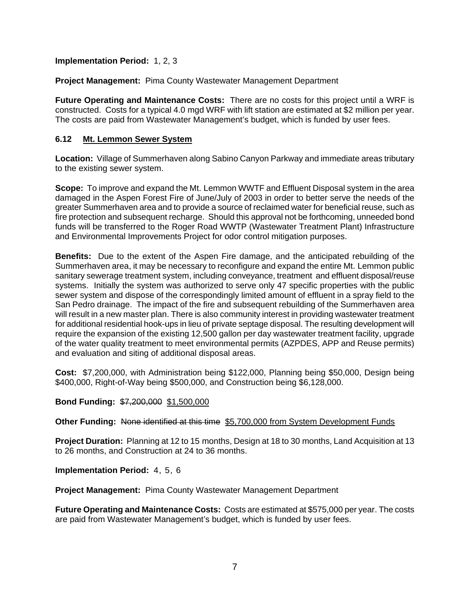**Implementation Period:** 1, 2, 3

**Project Management:** Pima County Wastewater Management Department

**Future Operating and Maintenance Costs:** There are no costs for this project until a WRF is constructed. Costs for a typical 4.0 mgd WRF with lift station are estimated at \$2 million per year. The costs are paid from Wastewater Management's budget, which is funded by user fees.

### **6.12 Mt. Lemmon Sewer System**

**Location:** Village of Summerhaven along Sabino Canyon Parkway and immediate areas tributary to the existing sewer system.

**Scope:** To improve and expand the Mt. Lemmon WWTF and Effluent Disposal system in the area damaged in the Aspen Forest Fire of June/July of 2003 in order to better serve the needs of the greater Summerhaven area and to provide a source of reclaimed water for beneficial reuse, such as fire protection and subsequent recharge. Should this approval not be forthcoming, unneeded bond funds will be transferred to the Roger Road WWTP (Wastewater Treatment Plant) Infrastructure and Environmental Improvements Project for odor control mitigation purposes.

**Benefits:** Due to the extent of the Aspen Fire damage, and the anticipated rebuilding of the Summerhaven area, it may be necessary to reconfigure and expand the entire Mt. Lemmon public sanitary sewerage treatment system, including conveyance, treatment and effluent disposal/reuse systems. Initially the system was authorized to serve only 47 specific properties with the public sewer system and dispose of the correspondingly limited amount of effluent in a spray field to the San Pedro drainage. The impact of the fire and subsequent rebuilding of the Summerhaven area will result in a new master plan. There is also community interest in providing wastewater treatment for additional residential hook-ups in lieu of private septage disposal. The resulting development will require the expansion of the existing 12,500 gallon per day wastewater treatment facility, upgrade of the water quality treatment to meet environmental permits (AZPDES, APP and Reuse permits) and evaluation and siting of additional disposal areas.

**Cost:** \$7,200,000, with Administration being \$122,000, Planning being \$50,000, Design being \$400,000, Right-of-Way being \$500,000, and Construction being \$6,128,000.

**Bond Funding:** \$7,200,000 \$1,500,000

**Other Funding:** None identified at this time \$5,700,000 from System Development Funds

**Project Duration:** Planning at 12 to 15 months, Design at 18 to 30 months, Land Acquisition at 13 to 26 months, and Construction at 24 to 36 months.

**Implementation Period:** 4, 5, 6

**Project Management:** Pima County Wastewater Management Department

**Future Operating and Maintenance Costs:** Costs are estimated at \$575,000 per year. The costs are paid from Wastewater Management's budget, which is funded by user fees.